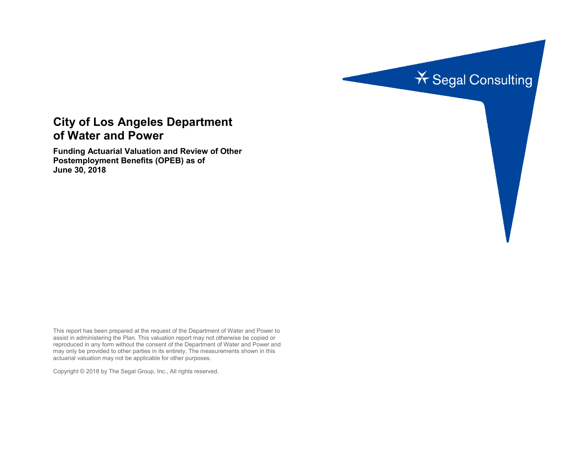

# **City of Los Angeles Department of Water and Power**

**Funding Actuarial Valuation and Review of Other Postemployment Benefits (OPEB) as of June 30, 2018**

This report has been prepared at the request of the Department of Water and Power to assist in administering the Plan. This valuation report may not otherwise be copied or reproduced in any form without the consent of the Department of Water and Power and may only be provided to other parties in its entirety. The measurements shown in this actuarial valuation may not be applicable for other purposes.

Copyright © 2018 by The Segal Group, Inc., All rights reserved.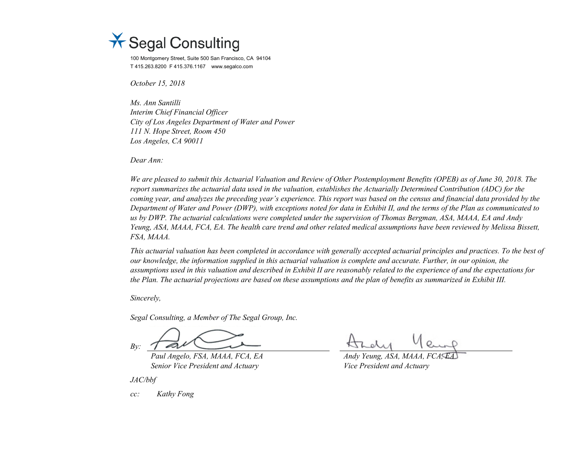

100 Montgomery Street, Suite 500 San Francisco, CA 94104 T 415.263.8200 F 415.376.1167 www.segalco.com

*October 15, 2018*

*Ms. Ann Santilli Interim Chief Financial Officer City of Los Angeles Department of Water and Power 111 N. Hope Street, Room 450 Los Angeles, CA 90011*

*Dear Ann:*

*We are pleased to submit this Actuarial Valuation and Review of Other Postemployment Benefits (OPEB) as of June 30, 2018. The report summarizes the actuarial data used in the valuation, establishes the Actuarially Determined Contribution (ADC) for the coming year, and analyzes the preceding year's experience. This report was based on the census and financial data provided by the Department of Water and Power (DWP), with exceptions noted for data in Exhibit II, and the terms of the Plan as communicated to us by DWP. The actuarial calculations were completed under the supervision of Thomas Bergman, ASA, MAAA, EA and Andy Yeung, ASA, MAAA, FCA, EA. The health care trend and other related medical assumptions have been reviewed by Melissa Bissett, FSA, MAAA.*

*This actuarial valuation has been completed in accordance with generally accepted actuarial principles and practices. To the best of our knowledge, the information supplied in this actuarial valuation is complete and accurate. Further, in our opinion, the assumptions used in this valuation and described in Exhibit II are reasonably related to the experience of and the expectations for the Plan. The actuarial projections are based on these assumptions and the plan of benefits as summarized in Exhibit III.*

*Sincerely,*

*Segal Consulting, a Member of The Segal Group, Inc.*

*By:*

*Paul Angelo, FSA, MAAA, FCA, EA Andy Yeung, ASA, MAAA, FCA, EA Senior Vice President and Actuary Vice President and Actuary* 

*JAC/bbf*

*cc: Kathy Fong*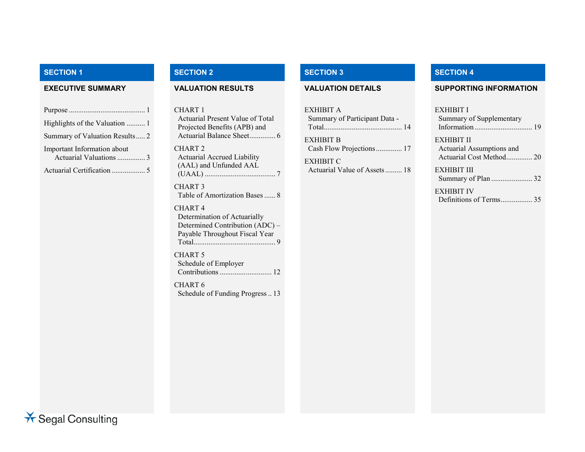| Highlights of the Valuation  1                         |
|--------------------------------------------------------|
| Summary of Valuation Results 2                         |
| Important Information about<br>Actuarial Valuations  3 |
| Actuarial Certification  5                             |

CHART 1 Actuarial Present Value of Total Projected Benefits (APB) and Actuarial Balance Sheet.............. 6 CHART 2 Actuarial Accrued Liability (AAL) and Unfunded AAL (UAAL) ...................................... 7 CHART 3

Table of Amortization Bases...... 8

### CHART 4

Determination of Actuarially Determined Contribution (ADC) – Payable Throughout Fiscal Year Total............................................ 9

CHART 5 Schedule of Employer Contributions............................ 12

CHART 6 Schedule of Funding Progress.. 13

| <b>EXHIBIT A</b><br>Summary of Participant Data - |  |
|---------------------------------------------------|--|
| <b>EXHIBIT B</b><br>Cash Flow Projections 17      |  |
| <b>EXHIBIT C</b><br>Actuarial Value of Assets 18  |  |

## **SECTION 1 SECTION 2 SECTION 3 SECTION 4**

### **EXECUTIVE SUMMARY VALUATION RESULTS VALUATION DETAILS SUPPORTING INFORMATION**

#### EXHIBIT I

| Summary of Supplementary                                            |
|---------------------------------------------------------------------|
| EXHIBIT II<br>Actuarial Assumptions and<br>Actuarial Cost Method 20 |
| EXHIBIT III                                                         |
| EXHIBIT IV                                                          |

Definitions of Terms................. 35

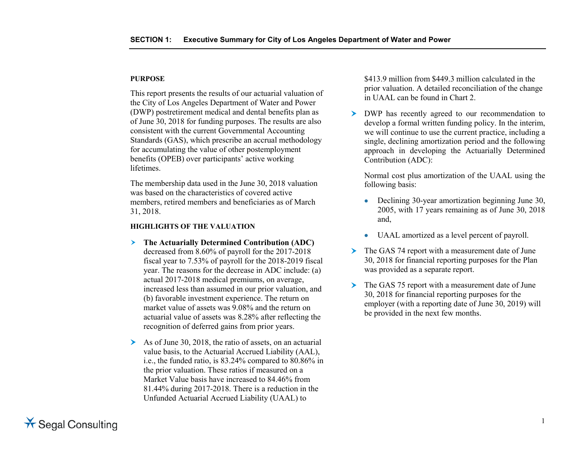#### **PURPOSE**

This report presents the results of our actuarial valuation of the City of Los Angeles Department of Water and Power (DWP) postretirement medical and dental benefits plan as of June 30, 2018 for funding purposes. The results are also consistent with the current Governmental Accounting Standards (GAS), which prescribe an accrual methodology for accumulating the value of other postemployment benefits (OPEB) over participants' active working lifetimes.

The membership data used in the June 30, 2018 valuation was based on the characteristics of covered active members, retired members and beneficiaries as of March 31, 2018.

#### **HIGHLIGHTS OF THE VALUATION**

- **The Actuarially Determined Contribution (ADC)** decreased from 8.60% of payroll for the 2017-2018 fiscal year to 7.53% of payroll for the 2018-2019 fiscal year. The reasons for the decrease in ADC include: (a) actual 2017-2018 medical premiums, on average, increased less than assumed in our prior valuation, and (b) favorable investment experience. The return on market value of assets was 9.08% and the return on actuarial value of assets was 8.28% after reflecting the recognition of deferred gains from prior years.
- $\triangleright$  As of June 30, 2018, the ratio of assets, on an actuarial value basis, to the Actuarial Accrued Liability (AAL), i.e., the funded ratio, is 83.24% compared to 80.86% in the prior valuation. These ratios if measured on a Market Value basis have increased to 84.46% from 81.44% during 2017-2018. There is a reduction in the Unfunded Actuarial Accrued Liability (UAAL) to

\$413.9 million from \$449.3 million calculated in the prior valuation. A detailed reconciliation of the change in UAAL can be found in Chart 2.

 DWP has recently agreed to our recommendation to develop a formal written funding policy. In the interim, we will continue to use the current practice, including a single, declining amortization period and the following approach in developing the Actuarially Determined Contribution (ADC):

Normal cost plus amortization of the UAAL using the following basis:

- Declining 30-year amortization beginning June 30, 2005, with 17 years remaining as of June 30, 2018 and,
- UAAL amortized as a level percent of payroll.
- The GAS 74 report with a measurement date of June 30, 2018 for financial reporting purposes for the Plan was provided as a separate report.
- The GAS 75 report with a measurement date of June 30, 2018 for financial reporting purposes for the employer (with a reporting date of June 30, 2019) will be provided in the next few months.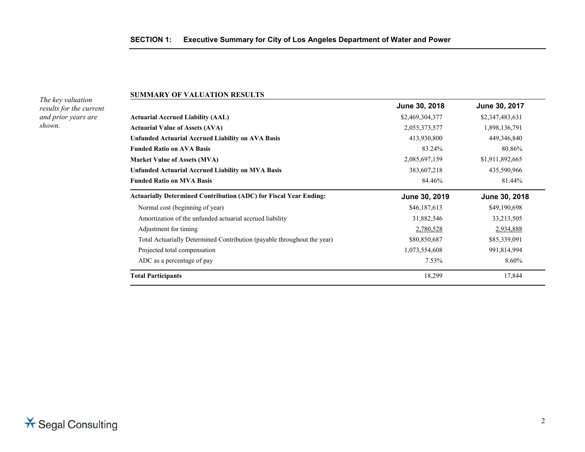#### **SUMMARY OF VALUATION RESULTS**

*The key valuation results for the current and prior years are shown.*

| June 30, 2018   | June 30, 2017   |
|-----------------|-----------------|
| \$2,469,304,377 | \$2,347,483,631 |
| 2,055,373,577   | 1,898,136,791   |
| 413,930,800     | 449,346,840     |
| 83.24%          | 80.86%          |
| 2,085,697,159   | \$1,911,892,665 |
| 383,607,218     | 435,590,966     |
| 84.46%          | 81.44%          |
| June 30, 2019   | June 30, 2018   |
| \$46,187,613    | \$49,190,698    |
| 31,882,546      | 33,213,505      |
| 2,780,528       | 2,934,888       |
| \$80,850,687    | \$85,339,091    |
| 1,073,554,608   | 991,814,994     |
| 7.53%           | 8.60%           |
| 18,299          | 17,844          |
|                 |                 |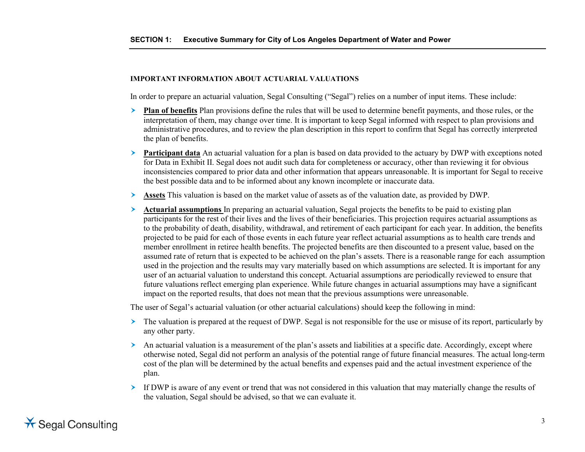#### **IMPORTANT INFORMATION ABOUT ACTUARIAL VALUATIONS**

In order to prepare an actuarial valuation, Segal Consulting ("Segal") relies on a number of input items. These include:

- **Plan of benefits** Plan provisions define the rules that will be used to determine benefit payments, and those rules, or the interpretation of them, may change over time. It is important to keep Segal informed with respect to plan provisions and administrative procedures, and to review the plan description in this report to confirm that Segal has correctly interpreted the plan of benefits.
- **Participant data** An actuarial valuation for a plan is based on data provided to the actuary by DWP with exceptions noted for Data in Exhibit II. Segal does not audit such data for completeness or accuracy, other than reviewing it for obvious inconsistencies compared to prior data and other information that appears unreasonable. It is important for Segal to receive the best possible data and to be informed about any known incomplete or inaccurate data.
- **Assets** This valuation is based on the market value of assets as of the valuation date, as provided by DWP.
- **Actuarial assumptions** In preparing an actuarial valuation, Segal projects the benefits to be paid to existing plan participants for the rest of their lives and the lives of their beneficiaries. This projection requires actuarial assumptions as to the probability of death, disability, withdrawal, and retirement of each participant for each year. In addition, the benefits projected to be paid for each of those events in each future year reflect actuarial assumptions as to health care trends and member enrollment in retiree health benefits. The projected benefits are then discounted to a present value, based on the assumed rate of return that is expected to be achieved on the plan's assets. There is a reasonable range for each assumption used in the projection and the results may vary materially based on which assumptions are selected. It is important for any user of an actuarial valuation to understand this concept. Actuarial assumptions are periodically reviewed to ensure that future valuations reflect emerging plan experience. While future changes in actuarial assumptions may have a significant impact on the reported results, that does not mean that the previous assumptions were unreasonable.

The user of Segal's actuarial valuation (or other actuarial calculations) should keep the following in mind:

- The valuation is prepared at the request of DWP. Segal is not responsible for the use or misuse of its report, particularly by any other party.
- An actuarial valuation is a measurement of the plan's assets and liabilities at a specific date. Accordingly, except where otherwise noted, Segal did not perform an analysis of the potential range of future financial measures. The actual long-term cost of the plan will be determined by the actual benefits and expenses paid and the actual investment experience of the plan.
- If DWP is aware of any event or trend that was not considered in this valuation that may materially change the results of the valuation, Segal should be advised, so that we can evaluate it.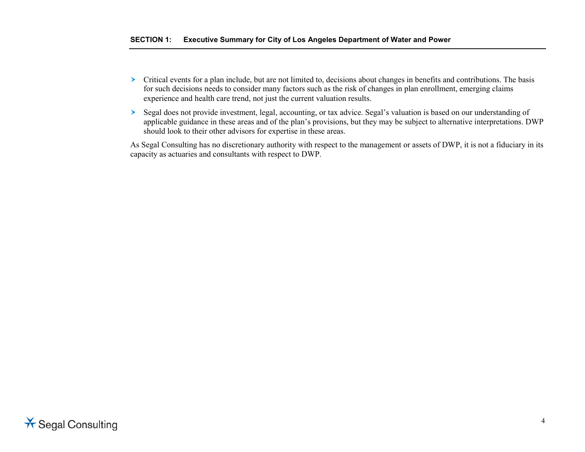- $\triangleright$  Critical events for a plan include, but are not limited to, decisions about changes in benefits and contributions. The basis for such decisions needs to consider many factors such as the risk of changes in plan enrollment, emerging claims experience and health care trend, not just the current valuation results.
- Segal does not provide investment, legal, accounting, or tax advice. Segal's valuation is based on our understanding of applicable guidance in these areas and of the plan's provisions, but they may be subject to alternative interpretations. DWP should look to their other advisors for expertise in these areas.

As Segal Consulting has no discretionary authority with respect to the management or assets of DWP, it is not a fiduciary in its capacity as actuaries and consultants with respect to DWP.

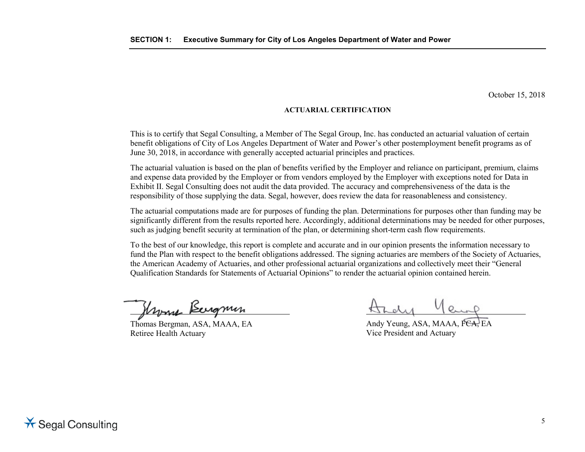October 15, 2018

#### **ACTUARIAL CERTIFICATION**

This is to certify that Segal Consulting, a Member of The Segal Group, Inc. has conducted an actuarial valuation of certain benefit obligations of City of Los Angeles Department of Water and Power's other postemployment benefit programs as of June 30, 2018, in accordance with generally accepted actuarial principles and practices.

The actuarial valuation is based on the plan of benefits verified by the Employer and reliance on participant, premium, claims and expense data provided by the Employer or from vendors employed by the Employer with exceptions noted for Data in Exhibit II. Segal Consulting does not audit the data provided. The accuracy and comprehensiveness of the data is the responsibility of those supplying the data. Segal, however, does review the data for reasonableness and consistency.

The actuarial computations made are for purposes of funding the plan. Determinations for purposes other than funding may be significantly different from the results reported here. Accordingly, additional determinations may be needed for other purposes, such as judging benefit security at termination of the plan, or determining short-term cash flow requirements.

To the best of our knowledge, this report is complete and accurate and in our opinion presents the information necessary to fund the Plan with respect to the benefit obligations addressed. The signing actuaries are members of the Society of Actuaries, the American Academy of Actuaries, and other professional actuarial organizations and collectively meet their "General Qualification Standards for Statements of Actuarial Opinions" to render the actuarial opinion contained herein.

Krons Bergmen

Thomas Bergman, ASA, MAAA, EA Retiree Health Actuary

lemp

Andy Yeung, ASA, MAAA, FCA, EA Vice President and Actuary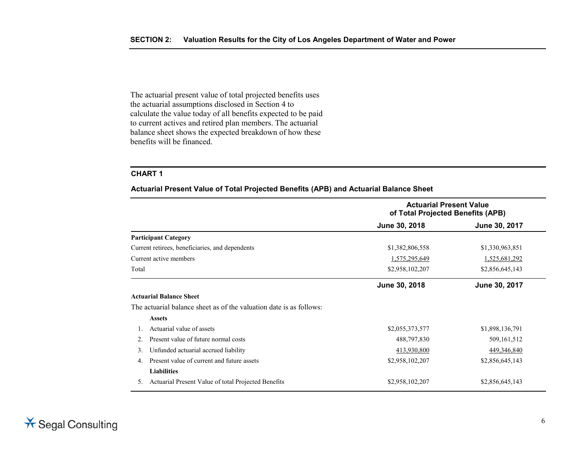The actuarial present value of total projected benefits uses the actuarial assumptions disclosed in Section 4 to calculate the value today of all benefits expected to be paid to current actives and retired plan members. The actuarial balance sheet shows the expected breakdown of how these benefits will be financed.

#### **CHART 1**

**Actuarial Present Value of Total Projected Benefits (APB) and Actuarial Balance Sheet**

|       |                                                                     | <b>Actuarial Present Value</b><br>of Total Projected Benefits (APB) |                 |
|-------|---------------------------------------------------------------------|---------------------------------------------------------------------|-----------------|
|       |                                                                     | June 30, 2018                                                       | June 30, 2017   |
|       | <b>Participant Category</b>                                         |                                                                     |                 |
|       | Current retirees, beneficiaries, and dependents                     | \$1,382,806,558                                                     | \$1,330,963,851 |
|       | Current active members                                              | 1,575,295,649                                                       | 1,525,681,292   |
| Total |                                                                     | \$2,958,102,207                                                     | \$2,856,645,143 |
|       |                                                                     | June 30, 2018                                                       | June 30, 2017   |
|       | <b>Actuarial Balance Sheet</b>                                      |                                                                     |                 |
|       | The actuarial balance sheet as of the valuation date is as follows: |                                                                     |                 |
|       | <b>Assets</b>                                                       |                                                                     |                 |
|       | Actuarial value of assets                                           | \$2,055,373,577                                                     | \$1,898,136,791 |
|       | Present value of future normal costs                                | 488,797,830                                                         | 509, 161, 512   |
| 3.    | Unfunded actuarial accrued liability                                | 413,930,800                                                         | 449,346,840     |
| 4     | Present value of current and future assets                          | \$2,958,102,207                                                     | \$2,856,645,143 |
|       | <b>Liabilities</b>                                                  |                                                                     |                 |
| 5.    | Actuarial Present Value of total Projected Benefits                 | \$2,958,102,207                                                     | \$2,856,645,143 |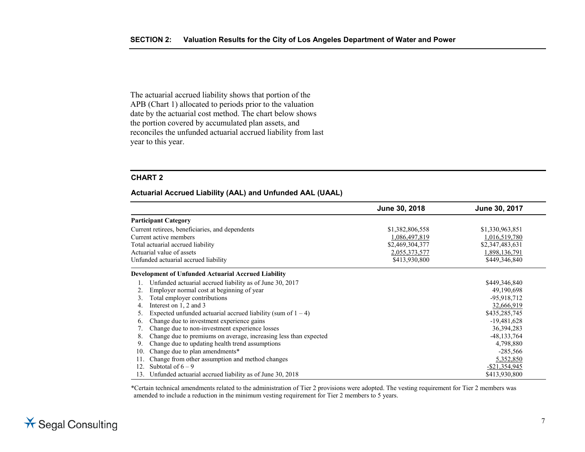The actuarial accrued liability shows that portion of the APB (Chart 1) allocated to periods prior to the valuation date by the actuarial cost method. The chart below shows the portion covered by accumulated plan assets, and reconciles the unfunded actuarial accrued liability from last year to this year.

#### **CHART 2**

#### **Actuarial Accrued Liability (AAL) and Unfunded AAL (UAAL)**

|     |                                                                  | June 30, 2018   | June 30, 2017    |
|-----|------------------------------------------------------------------|-----------------|------------------|
|     | <b>Participant Category</b>                                      |                 |                  |
|     | Current retirees, beneficiaries, and dependents                  | \$1,382,806,558 | \$1,330,963,851  |
|     | Current active members                                           | 1,086,497,819   | 1,016,519,780    |
|     | Total actuarial accrued liability                                | \$2,469,304,377 | \$2,347,483,631  |
|     | Actuarial value of assets                                        | 2,055,373,577   | 1,898,136,791    |
|     | Unfunded actuarial accrued liability                             | \$413,930,800   | \$449,346,840    |
|     | <b>Development of Unfunded Actuarial Accrued Liability</b>       |                 |                  |
|     | Unfunded actuarial accrued liability as of June 30, 2017         |                 | \$449,346,840    |
|     | Employer normal cost at beginning of year                        |                 | 49,190,698       |
| 3.  | Total employer contributions                                     |                 | -95,918,712      |
| 4.  | Interest on 1, 2 and 3                                           |                 | 32,666,919       |
| 5.  | Expected unfunded actuarial accrued liability (sum of $1 - 4$ )  |                 | \$435,285,745    |
| 6.  | Change due to investment experience gains                        |                 | $-19,481,628$    |
|     | Change due to non-investment experience losses                   |                 | 36,394,283       |
| 8.  | Change due to premiums on average, increasing less than expected |                 | $-48, 133, 764$  |
| 9.  | Change due to updating health trend assumptions                  |                 | 4,798,880        |
| 10. | Change due to plan amendments*                                   |                 | $-285,566$       |
|     | Change from other assumption and method changes                  |                 | 5,352,850        |
| 12. | Subtotal of $6 - 9$                                              |                 | $-$ \$21,354,945 |
| 13. | Unfunded actuarial accrued liability as of June 30, 2018         |                 | \$413,930,800    |

\*Certain technical amendments related to the administration of Tier 2 provisions were adopted. The vesting requirement for Tier 2 members was amended to include a reduction in the minimum vesting requirement for Tier 2 members to 5 years.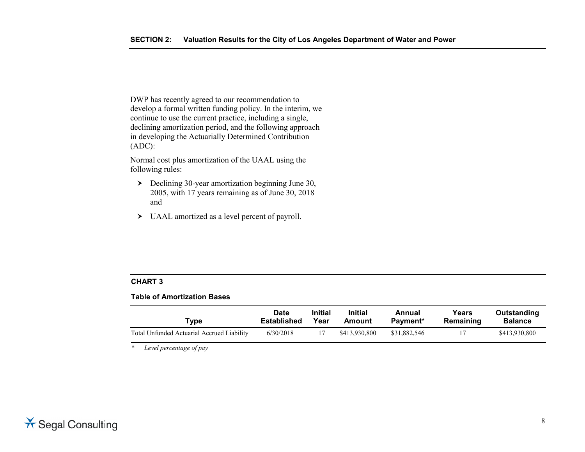DWP has recently agreed to our recommendation to develop a formal written funding policy. In the interim, we continue to use the current practice, including a single, declining amortization period, and the following approach in developing the Actuarially Determined Contribution (ADC):

Normal cost plus amortization of the UAAL using the following rules:

- $\geq$  Declining 30-year amortization beginning June 30, 2005, with 17 years remaining as of June 30, 2018 and
- UAAL amortized as a level percent of payroll.

## **CHART 3**

#### **Table of Amortization Bases**

| Tvpe                                       | <b>Date</b> | <b>Initial</b> | <b>Initial</b> | Annual       | Years     | Outstanding   |
|--------------------------------------------|-------------|----------------|----------------|--------------|-----------|---------------|
|                                            | Established | Year           | Amount         | Payment*     | Remaining | Balance       |
| Total Unfunded Actuarial Accrued Liability | 6/30/2018   |                | \$413,930,800  | \$31,882,546 |           | \$413,930,800 |

*\* Level percentage of pay*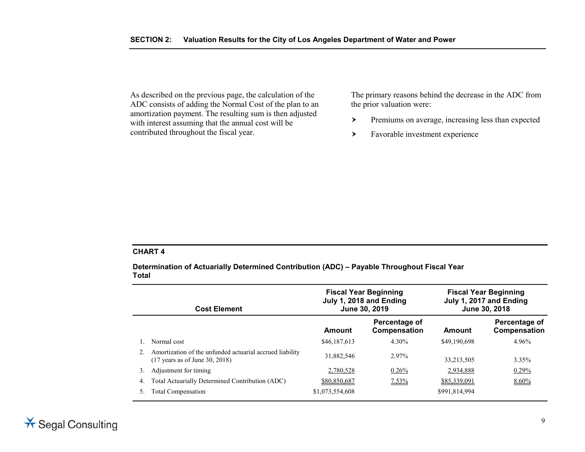As described on the previous page, the calculation of the ADC consists of adding the Normal Cost of the plan to an amortization payment. The resulting sum is then adjusted with interest assuming that the annual cost will be contributed throughout the fiscal year.

The primary reasons behind the decrease in the ADC from the prior valuation were:

- > Premiums on average, increasing less than expected
- > Favorable investment experience

#### **CHART 4**

**Determination of Actuarially Determined Contribution (ADC) – Payable Throughout Fiscal Year Total**

|    | <b>Cost Element</b>                                                                                   | <b>Fiscal Year Beginning</b><br>July 1, 2018 and Ending<br>June 30, 2019 |                               | <b>Fiscal Year Beginning</b><br>July 1, 2017 and Ending<br>June 30, 2018 |                               |
|----|-------------------------------------------------------------------------------------------------------|--------------------------------------------------------------------------|-------------------------------|--------------------------------------------------------------------------|-------------------------------|
|    |                                                                                                       | Amount                                                                   | Percentage of<br>Compensation | Amount                                                                   | Percentage of<br>Compensation |
|    | Normal cost                                                                                           | \$46,187,613                                                             | 4.30%                         | \$49,190,698                                                             | 4.96%                         |
|    | Amortization of the unfunded actuarial accrued liability<br>$(17 \text{ years as of June } 30, 2018)$ | 31,882,546                                                               | 2.97%                         | 33,213,505                                                               | 3.35%                         |
| 3. | Adjustment for timing                                                                                 | 2,780,528                                                                | 0.26%                         | 2,934,888                                                                | $0.29\%$                      |
| 4. | Total Actuarially Determined Contribution (ADC)                                                       | \$80,850,687                                                             | $7.53\%$                      | \$85,339,091                                                             | $8.60\%$                      |
|    | <b>Total Compensation</b>                                                                             | \$1,073,554,608                                                          |                               | \$991,814,994                                                            |                               |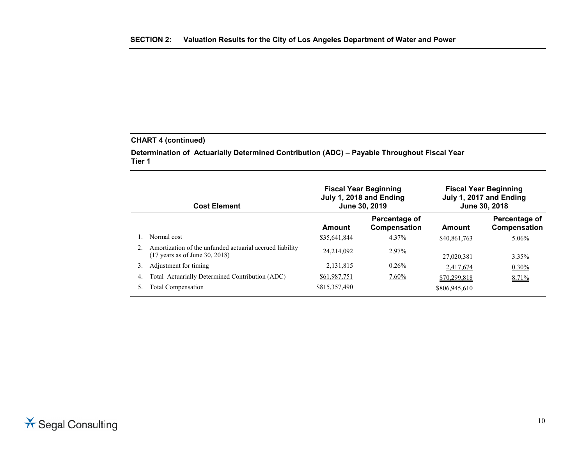### **CHART 4 (continued)**

**Determination of Actuarially Determined Contribution (ADC) – Payable Throughout Fiscal Year Tier 1**

|    | <b>Cost Element</b>                                                                                   | <b>Fiscal Year Beginning</b><br>July 1, 2018 and Ending<br>June 30, 2019 |                               |               | <b>Fiscal Year Beginning</b><br>July 1, 2017 and Ending<br>June 30, 2018 |
|----|-------------------------------------------------------------------------------------------------------|--------------------------------------------------------------------------|-------------------------------|---------------|--------------------------------------------------------------------------|
|    |                                                                                                       | Amount                                                                   | Percentage of<br>Compensation | Amount        | Percentage of<br>Compensation                                            |
|    | Normal cost                                                                                           | \$35,641,844                                                             | 4.37%                         | \$40,861,763  | 5.06%                                                                    |
|    | Amortization of the unfunded actuarial accrued liability<br>$(17 \text{ years as of June } 30, 2018)$ | 24.214.092                                                               | 2.97%                         | 27,020,381    | 3.35%                                                                    |
| 3. | Adjustment for timing                                                                                 | 2,131,815                                                                | $0.26\%$                      | 2,417,674     | $0.30\%$                                                                 |
| 4. | Total Actuarially Determined Contribution (ADC)                                                       | \$61,987,751                                                             | $7.60\%$                      | \$70,299,818  | 8.71%                                                                    |
|    | <b>Total Compensation</b>                                                                             | \$815,357,490                                                            |                               | \$806,945,610 |                                                                          |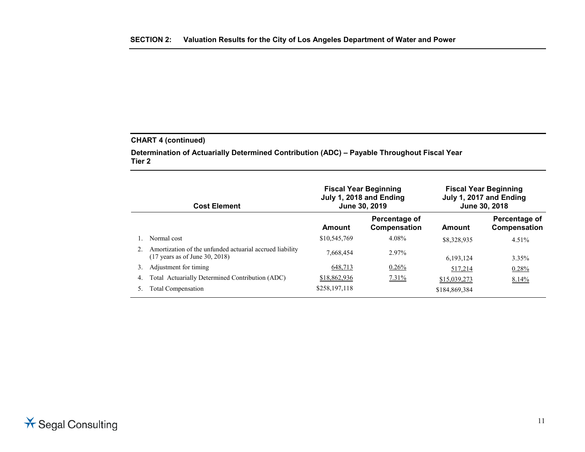### **CHART 4 (continued)**

**Determination of Actuarially Determined Contribution (ADC) – Payable Throughout Fiscal Year Tier 2**

|    | <b>Cost Element</b>                                                                                   | <b>Fiscal Year Beginning</b><br>July 1, 2018 and Ending<br>June 30, 2019 |                               |               | <b>Fiscal Year Beginning</b><br>July 1, 2017 and Ending<br>June 30, 2018 |
|----|-------------------------------------------------------------------------------------------------------|--------------------------------------------------------------------------|-------------------------------|---------------|--------------------------------------------------------------------------|
|    |                                                                                                       | Amount                                                                   | Percentage of<br>Compensation | Amount        | Percentage of<br>Compensation                                            |
|    | Normal cost                                                                                           | \$10,545,769                                                             | 4.08%                         | \$8,328,935   | 4.51%                                                                    |
|    | Amortization of the unfunded actuarial accrued liability<br>$(17 \text{ years as of June } 30, 2018)$ | 7.668.454                                                                | 2.97%                         | 6.193.124     | 3.35%                                                                    |
| 3. | Adjustment for timing                                                                                 | 648,713                                                                  | 0.26%                         | 517,214       | 0.28%                                                                    |
| 4. | Total Actuarially Determined Contribution (ADC)                                                       | \$18,862,936                                                             | $7.31\%$                      | \$15,039,273  | 8.14%                                                                    |
| 5. | Total Compensation                                                                                    | \$258,197,118                                                            |                               | \$184,869,384 |                                                                          |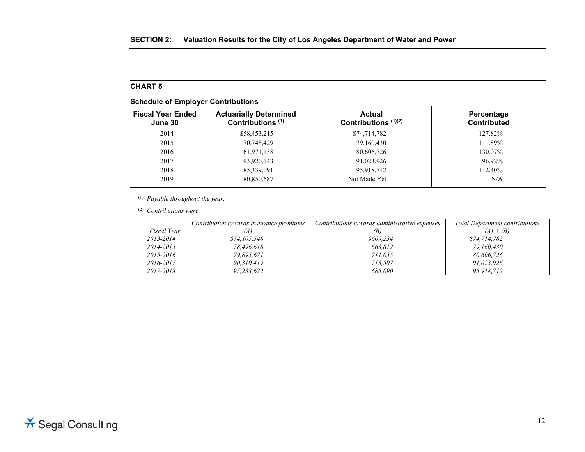## **CHART 5**

| <b>Fiscal Year Ended</b><br>June 30 | <b>Actuarially Determined</b><br>Contributions <sup>(1)</sup> | Actual<br>Contributions $(1)(2)$ | Percentage<br><b>Contributed</b> |
|-------------------------------------|---------------------------------------------------------------|----------------------------------|----------------------------------|
| 2014                                | \$58,453,215                                                  | \$74,714,782                     | 127.82%                          |
| 2015                                | 70,748,429                                                    | 79,160,430                       | 111.89%                          |
| 2016                                | 61,971,138                                                    | 80,606,726                       | 130.07%                          |
| 2017                                | 93,920,143                                                    | 91,023,926                       | 96.92%                           |
| 2018                                | 85,339,091                                                    | 95,918,712                       | 112.40%                          |
| 2019                                | 80,850,687                                                    | Not Made Yet                     | N/A                              |

(1) *Payable throughout the year.*

(2) *Contributions were:*

|             | Contribution towards insurance premiums | Contributions towards administrative expenses | <b>Total Department contributions</b> |
|-------------|-----------------------------------------|-----------------------------------------------|---------------------------------------|
| Fiscal Year |                                         | (B)                                           | $(A) + (B)$                           |
| 2013-2014   | \$74,105,548                            | \$609.234                                     | \$74,714,782                          |
| 2014-2015   | 78.496.618                              | 663.812                                       | 79.160.430                            |
| 2015-2016   | 79.895.671                              | 711.055                                       | 80,606,726                            |
| 2016-2017   | 90.310.419                              | 713.507                                       | 91.023.926                            |
| 2017-2018   | 95.233.622                              | 685.090                                       | 95.918.712                            |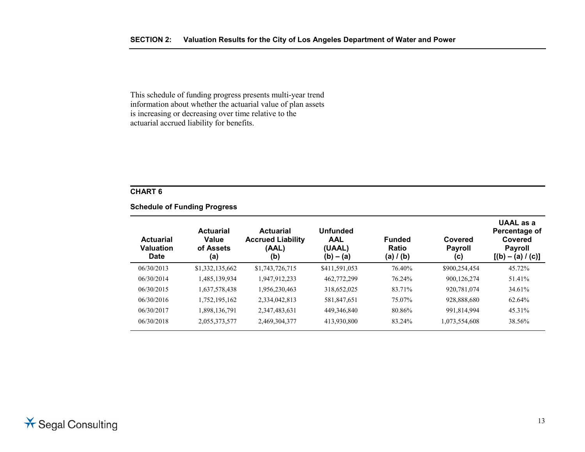This schedule of funding progress presents multi-year trend information about whether the actuarial value of plan assets is increasing or decreasing over time relative to the actuarial accrued liability for benefits.

### **CHART 6**

### **Schedule of Funding Progress**

| <b>Actuarial</b><br>Valuation<br><b>Date</b> | <b>Actuarial</b><br>Value<br>of Assets<br>(a) | <b>Actuarial</b><br><b>Accrued Liability</b><br>(AAL)<br>(b) | <b>Unfunded</b><br><b>AAL</b><br>(UAAL)<br>$(b) - (a)$ | <b>Funded</b><br><b>Ratio</b><br>(a) $/$ (b) | Covered<br><b>Payroll</b><br>(c) | UAAL as a<br>Percentage of<br>Covered<br><b>Payroll</b><br>$[(b) - (a) / (c)]$ |
|----------------------------------------------|-----------------------------------------------|--------------------------------------------------------------|--------------------------------------------------------|----------------------------------------------|----------------------------------|--------------------------------------------------------------------------------|
| 06/30/2013                                   | \$1,332,135,662                               | \$1,743,726,715                                              | \$411,591,053                                          | 76.40%                                       | \$900,254,454                    | 45.72%                                                                         |
| 06/30/2014                                   | 1,485,139,934                                 | 1,947,912,233                                                | 462,772,299                                            | 76.24%                                       | 900,126,274                      | 51.41%                                                                         |
| 06/30/2015                                   | 1,637,578,438                                 | 1,956,230,463                                                | 318,652,025                                            | 83.71%                                       | 920,781,074                      | 34.61%                                                                         |
| 06/30/2016                                   | 1,752,195,162                                 | 2,334,042,813                                                | 581,847,651                                            | 75.07%                                       | 928,888,680                      | 62.64%                                                                         |
| 06/30/2017                                   | 1,898,136,791                                 | 2,347,483,631                                                | 449,346,840                                            | 80.86%                                       | 991,814,994                      | 45.31%                                                                         |
| 06/30/2018                                   | 2,055,373,577                                 | 2,469,304,377                                                | 413,930,800                                            | 83.24%                                       | 1,073,554,608                    | 38.56%                                                                         |
|                                              |                                               |                                                              |                                                        |                                              |                                  |                                                                                |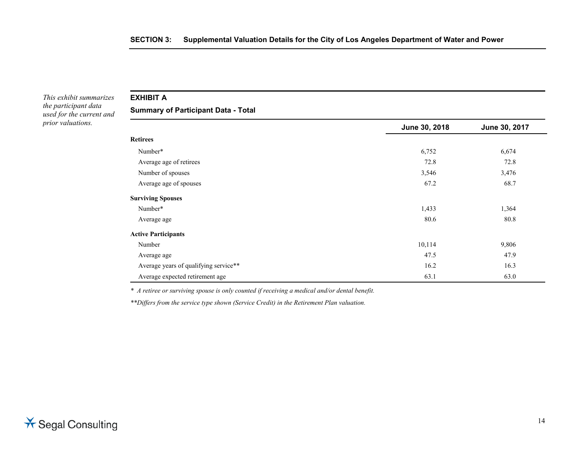*This exhibit summarizes the participant data used for the current and prior valuations.*

**EXHIBIT A**

**Summary of Participant Data - Total**

|                                       | June 30, 2018 | June 30, 2017 |
|---------------------------------------|---------------|---------------|
| <b>Retirees</b>                       |               |               |
| Number*                               | 6,752         | 6,674         |
| Average age of retirees               | 72.8          | 72.8          |
| Number of spouses                     | 3,546         | 3,476         |
| Average age of spouses                | 67.2          | 68.7          |
| <b>Surviving Spouses</b>              |               |               |
| Number*                               | 1,433         | 1,364         |
| Average age                           | 80.6          | 80.8          |
| <b>Active Participants</b>            |               |               |
| Number                                | 10,114        | 9,806         |
| Average age                           | 47.5          | 47.9          |
| Average years of qualifying service** | 16.2          | 16.3          |
| Average expected retirement age       | 63.1          | 63.0          |

*\* A retiree or surviving spouse is only counted if receiving a medical and/or dental benefit.*

*\*\*Differs from the service type shown (Service Credit) in the Retirement Plan valuation.*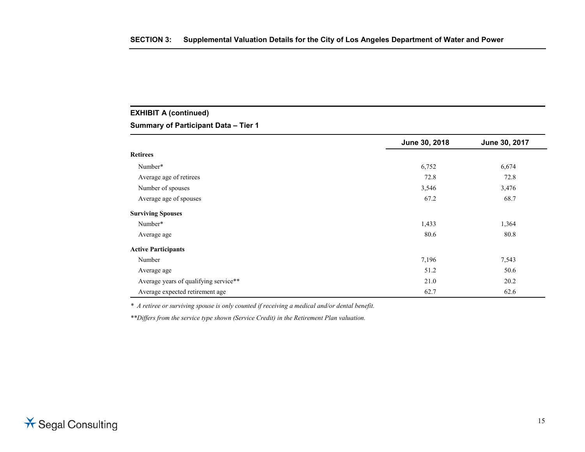## **EXHIBIT A (continued)**

**Summary of Participant Data – Tier 1**

|                                       | June 30, 2018 | June 30, 2017 |
|---------------------------------------|---------------|---------------|
| <b>Retirees</b>                       |               |               |
| Number*                               | 6,752         | 6,674         |
| Average age of retirees               | 72.8          | 72.8          |
| Number of spouses                     | 3,546         | 3,476         |
| Average age of spouses                | 67.2          | 68.7          |
| <b>Surviving Spouses</b>              |               |               |
| Number*                               | 1,433         | 1,364         |
| Average age                           | 80.6          | 80.8          |
| <b>Active Participants</b>            |               |               |
| Number                                | 7,196         | 7,543         |
| Average age                           | 51.2          | 50.6          |
| Average years of qualifying service** | 21.0          | 20.2          |
| Average expected retirement age       | 62.7          | 62.6          |

*\* A retiree or surviving spouse is only counted if receiving a medical and/or dental benefit.*

*\*\*Differs from the service type shown (Service Credit) in the Retirement Plan valuation.*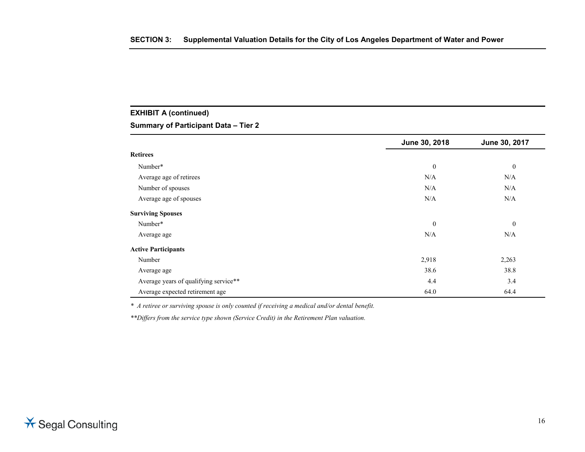## **EXHIBIT A (continued)**

**Summary of Participant Data – Tier 2**

|                                       | June 30, 2018    | June 30, 2017 |
|---------------------------------------|------------------|---------------|
| <b>Retirees</b>                       |                  |               |
| Number*                               | $\boldsymbol{0}$ | $\theta$      |
| Average age of retirees               | N/A              | N/A           |
| Number of spouses                     | N/A              | N/A           |
| Average age of spouses                | N/A              | N/A           |
| <b>Surviving Spouses</b>              |                  |               |
| Number*                               | $\mathbf{0}$     | $\mathbf{0}$  |
| Average age                           | N/A              | N/A           |
| <b>Active Participants</b>            |                  |               |
| Number                                | 2,918            | 2,263         |
| Average age                           | 38.6             | 38.8          |
| Average years of qualifying service** | 4.4              | 3.4           |
| Average expected retirement age       | 64.0             | 64.4          |

*\* A retiree or surviving spouse is only counted if receiving a medical and/or dental benefit.*

*\*\*Differs from the service type shown (Service Credit) in the Retirement Plan valuation.*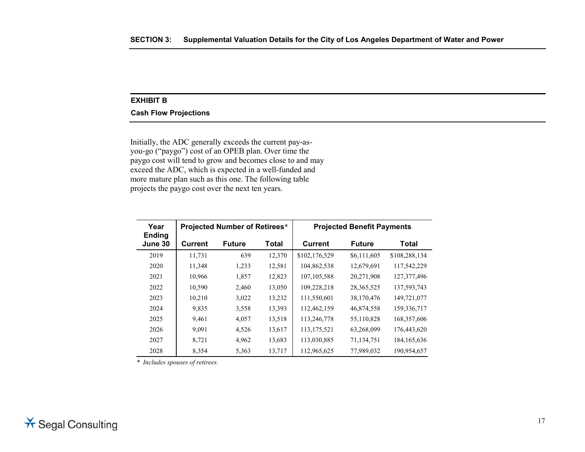## **EXHIBIT B**

#### **Cash Flow Projections**

Initially, the ADC generally exceeds the current pay-asyou-go ("paygo") cost of an OPEB plan. Over time the paygo cost will tend to grow and becomes close to and may exceed the ADC, which is expected in a well-funded and more mature plan such as this one. The following table projects the paygo cost over the next ten years.

| Year<br><b>Ending</b> | <b>Projected Number of Retirees*</b> |               |        | <b>Projected Benefit Payments</b> |               |               |
|-----------------------|--------------------------------------|---------------|--------|-----------------------------------|---------------|---------------|
| June 30               | <b>Current</b>                       | <b>Future</b> | Total  | <b>Current</b>                    | <b>Future</b> | Total         |
| 2019                  | 11.731                               | 639           | 12,370 | \$102,176,529                     | \$6,111,605   | \$108,288,134 |
| 2020                  | 11,348                               | 1,233         | 12,581 | 104,862,538                       | 12,679,691    | 117,542,229   |
| 2021                  | 10,966                               | 1,857         | 12,823 | 107, 105, 588                     | 20,271,908    | 127,377,496   |
| 2022                  | 10,590                               | 2,460         | 13,050 | 109,228,218                       | 28, 365, 525  | 137,593,743   |
| 2023                  | 10,210                               | 3,022         | 13,232 | 111,550,601                       | 38,170,476    | 149,721,077   |
| 2024                  | 9,835                                | 3,558         | 13,393 | 112,462,159                       | 46,874,558    | 159,336,717   |
| 2025                  | 9,461                                | 4,057         | 13,518 | 113,246,778                       | 55,110,828    | 168, 357, 606 |
| 2026                  | 9,091                                | 4,526         | 13,617 | 113, 175, 521                     | 63,268,099    | 176,443,620   |
| 2027                  | 8,721                                | 4,962         | 13,683 | 113,030,885                       | 71,134,751    | 184, 165, 636 |
| 2028                  | 8,354                                | 5,363         | 13,717 | 112,965,625                       | 77,989,032    | 190,954,657   |

*\* Includes spouses of retirees.*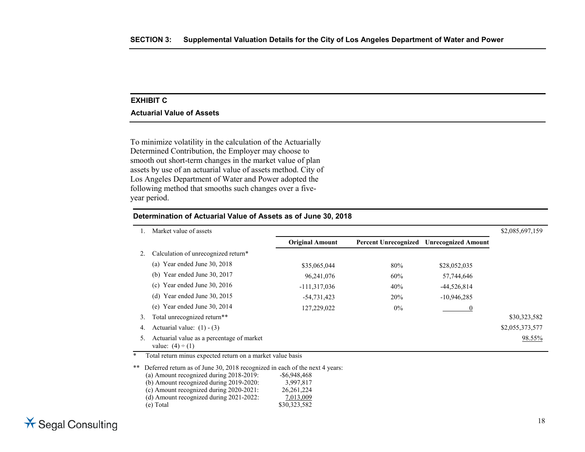### **EXHIBIT C**

#### **Actuarial Value of Assets**

To minimize volatility in the calculation of the Actuarially Determined Contribution, the Employer may choose to smooth out short-term changes in the market value of plan assets by use of an actuarial value of assets method. City of Los Angeles Department of Water and Power adopted the following method that smooths such changes over a fiveyear period.

|    | Market value of assets                                             |                        |                             |                            | \$2,085,697,159 |
|----|--------------------------------------------------------------------|------------------------|-----------------------------|----------------------------|-----------------|
|    |                                                                    | <b>Original Amount</b> | <b>Percent Unrecognized</b> | <b>Unrecognized Amount</b> |                 |
|    | Calculation of unrecognized return*                                |                        |                             |                            |                 |
|    | (a) Year ended June $30, 2018$                                     | \$35,065,044           | 80%                         | \$28,052,035               |                 |
|    | (b) Year ended June 30, 2017                                       | 96,241,076             | 60%                         | 57,744,646                 |                 |
|    | Year ended June 30, 2016<br>(c)                                    | $-111,317,036$         | 40%                         | $-44,526,814$              |                 |
|    | Year ended June 30, 2015<br>(d)                                    | $-54,731,423$          | 20%                         | $-10,946,285$              |                 |
|    | Year ended June 30, 2014<br>(e)                                    | 127,229,022            | $0\%$                       |                            |                 |
| 3. | Total unrecognized return**                                        |                        |                             |                            | \$30,323,582    |
| 4. | Actuarial value: $(1) - (3)$                                       |                        |                             |                            | \$2,055,373,577 |
|    | Actuarial value as a percentage of market<br>value: $(4) \div (1)$ |                        |                             |                            | 98.55%          |

**Determination of Actuarial Value of Assets as of June 30, 2018**

\* Total return minus expected return on a market value basis

\*\* Deferred return as of June 30, 2018 recognized in each of the next 4 years: (a) Amount recognized during 2018-2019: - \$6,948,468 (b) Amount recognized during 2019-2020: 3,997,817 (c) Amount recognized during 2020-2021:  $26,261,224$ <br>(d) Amount recognized during 2021-2022:  $7,013,009$  $(d)$  Amount recognized during 2021-2022: (e) Total \$30,323,582

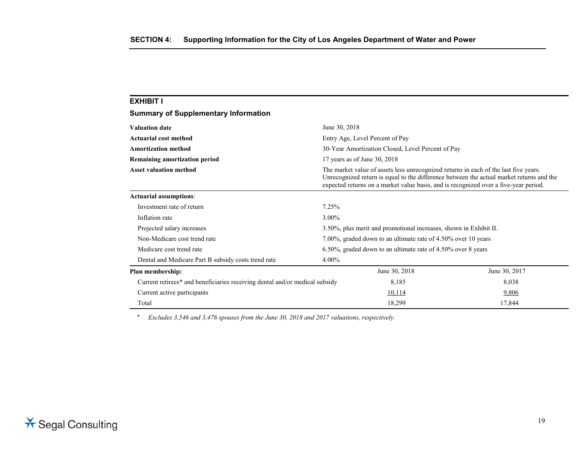| <b>EXHIBIT I</b>                                                                |                                                                                                                                                                                                                                                                          |               |  |
|---------------------------------------------------------------------------------|--------------------------------------------------------------------------------------------------------------------------------------------------------------------------------------------------------------------------------------------------------------------------|---------------|--|
| <b>Summary of Supplementary Information</b>                                     |                                                                                                                                                                                                                                                                          |               |  |
| <b>Valuation date</b>                                                           | June 30, 2018                                                                                                                                                                                                                                                            |               |  |
| <b>Actuarial cost method</b>                                                    | Entry Age, Level Percent of Pay                                                                                                                                                                                                                                          |               |  |
| 30-Year Amortization Closed, Level Percent of Pay<br><b>Amortization method</b> |                                                                                                                                                                                                                                                                          |               |  |
| Remaining amortization period                                                   | 17 years as of June 30, 2018                                                                                                                                                                                                                                             |               |  |
| <b>Asset valuation method</b>                                                   | The market value of assets less unrecognized returns in each of the last five years.<br>Unrecognized return is equal to the difference between the actual market returns and the<br>expected returns on a market value basis, and is recognized over a five-year period. |               |  |
| <b>Actuarial assumptions:</b>                                                   |                                                                                                                                                                                                                                                                          |               |  |
| Investment rate of return                                                       | 7.25%                                                                                                                                                                                                                                                                    |               |  |
| Inflation rate                                                                  | 3.00%                                                                                                                                                                                                                                                                    |               |  |
| Projected salary increases                                                      | 3.50%, plus merit and promotional increases, shown in Exhibit II.                                                                                                                                                                                                        |               |  |
| Non-Medicare cost trend rate                                                    | 7.00%, graded down to an ultimate rate of 4.50% over 10 years                                                                                                                                                                                                            |               |  |
| Medicare cost trend rate                                                        | 6.50%, graded down to an ultimate rate of 4.50% over 8 years                                                                                                                                                                                                             |               |  |
| Dental and Medicare Part B subsidy costs trend rate                             | $4.00\%$                                                                                                                                                                                                                                                                 |               |  |
| Plan membership:                                                                | June 30, 2018                                                                                                                                                                                                                                                            | June 30, 2017 |  |
| Current retirees* and beneficiaries receiving dental and/or medical subsidy     | 8,185                                                                                                                                                                                                                                                                    | 8,038         |  |
| Current active participants                                                     | 10,114                                                                                                                                                                                                                                                                   | 9,806         |  |
| Total                                                                           | 18,299                                                                                                                                                                                                                                                                   | 17,844        |  |

*\* Excludes 3,546 and 3,476 spouses from the June 30, 2018 and 2017 valuations, respectively.*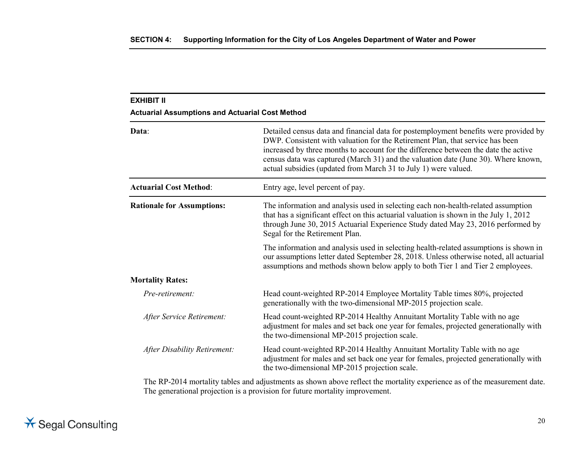| <b>EXHIBIT II</b>                                      |                                                                                                                                                                                                                                                                                                                                                                                                                       |
|--------------------------------------------------------|-----------------------------------------------------------------------------------------------------------------------------------------------------------------------------------------------------------------------------------------------------------------------------------------------------------------------------------------------------------------------------------------------------------------------|
| <b>Actuarial Assumptions and Actuarial Cost Method</b> |                                                                                                                                                                                                                                                                                                                                                                                                                       |
| Data:                                                  | Detailed census data and financial data for postemployment benefits were provided by<br>DWP. Consistent with valuation for the Retirement Plan, that service has been<br>increased by three months to account for the difference between the date the active<br>census data was captured (March 31) and the valuation date (June 30). Where known,<br>actual subsidies (updated from March 31 to July 1) were valued. |
| <b>Actuarial Cost Method:</b>                          | Entry age, level percent of pay.                                                                                                                                                                                                                                                                                                                                                                                      |
| <b>Rationale for Assumptions:</b>                      | The information and analysis used in selecting each non-health-related assumption<br>that has a significant effect on this actuarial valuation is shown in the July 1, 2012<br>through June 30, 2015 Actuarial Experience Study dated May 23, 2016 performed by<br>Segal for the Retirement Plan.                                                                                                                     |
|                                                        | The information and analysis used in selecting health-related assumptions is shown in<br>our assumptions letter dated September 28, 2018. Unless otherwise noted, all actuarial<br>assumptions and methods shown below apply to both Tier 1 and Tier 2 employees.                                                                                                                                                     |
| <b>Mortality Rates:</b>                                |                                                                                                                                                                                                                                                                                                                                                                                                                       |
| Pre-retirement:                                        | Head count-weighted RP-2014 Employee Mortality Table times 80%, projected<br>generationally with the two-dimensional MP-2015 projection scale.                                                                                                                                                                                                                                                                        |
| After Service Retirement:                              | Head count-weighted RP-2014 Healthy Annuitant Mortality Table with no age<br>adjustment for males and set back one year for females, projected generationally with<br>the two-dimensional MP-2015 projection scale.                                                                                                                                                                                                   |
| After Disability Retirement:                           | Head count-weighted RP-2014 Healthy Annuitant Mortality Table with no age<br>adjustment for males and set back one year for females, projected generationally with<br>the two-dimensional MP-2015 projection scale.                                                                                                                                                                                                   |

The RP-2014 mortality tables and adjustments as shown above reflect the mortality experience as of the measurement date. The generational projection is a provision for future mortality improvement.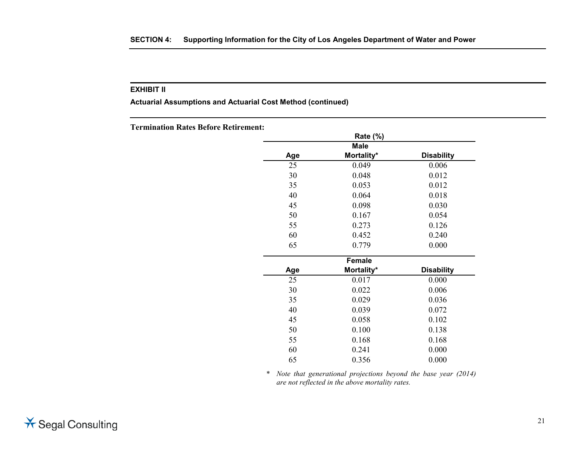**Actuarial Assumptions and Actuarial Cost Method (continued)**

**Termination Rates Before Retirement:**

|     | Rate (%)      |                   |
|-----|---------------|-------------------|
|     | <b>Male</b>   |                   |
| Age | Mortality*    | <b>Disability</b> |
| 25  | 0.049         | 0.006             |
| 30  | 0.048         | 0.012             |
| 35  | 0.053         | 0.012             |
| 40  | 0.064         | 0.018             |
| 45  | 0.098         | 0.030             |
| 50  | 0.167         | 0.054             |
| 55  | 0.273         | 0.126             |
| 60  | 0.452         | 0.240             |
| 65  | 0.779         | 0.000             |
|     | <b>Female</b> |                   |
| Age | Mortality*    | <b>Disability</b> |
| 25  | 0.017         | 0.000             |
| 30  | 0.022         | 0.006             |
| 35  | 0.029         | 0.036             |
| 40  | 0.039         | 0.072             |
| 45  | 0.058         | 0.102             |
| 50  | 0.100         | 0.138             |
| 55  | 0.168         | 0.168             |
| 60  | 0.241         | 0.000             |
| 65  | 0.356         | 0.000             |

\* *Note that generational projections beyond the base year (2014) are not reflected in the above mortality rates.*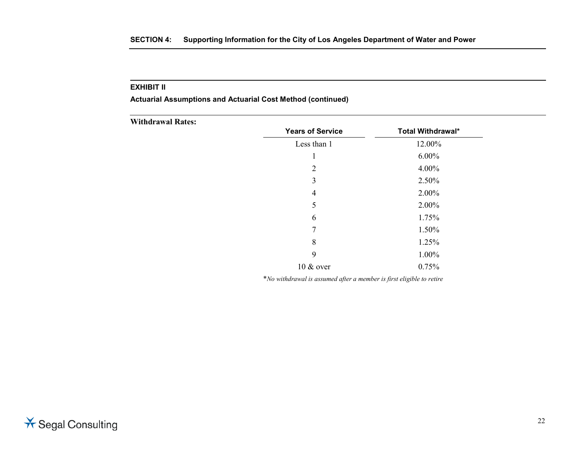**Actuarial Assumptions and Actuarial Cost Method (continued)**

| <b>Withdrawal Rates:</b> |                         |                          |
|--------------------------|-------------------------|--------------------------|
|                          | <b>Years of Service</b> | <b>Total Withdrawal*</b> |
|                          | Less than 1             | 12.00%                   |
|                          | л.                      | $6.00\%$                 |
|                          | 2                       | 4.00%                    |
|                          | 3                       | 2.50%                    |
|                          | 4                       | 2.00%                    |
|                          | 5                       | 2.00%                    |
|                          | 6                       | 1.75%                    |
|                          | 7                       | 1.50%                    |
|                          | 8                       | 1.25%                    |
|                          | 9                       | 1.00%                    |
|                          | $10 \& over$            | 0.75%                    |
|                          |                         |                          |

\**No withdrawal is assumed after a member is first eligible to retire*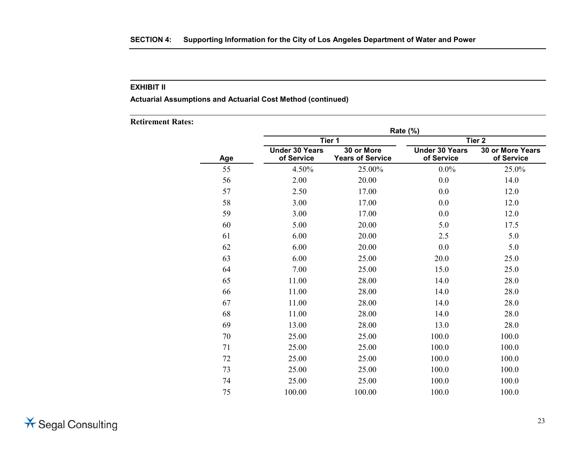**Actuarial Assumptions and Actuarial Cost Method (continued)**

| <b>Retirement Rates:</b> |     |                                     |                                       |                                     |                                |
|--------------------------|-----|-------------------------------------|---------------------------------------|-------------------------------------|--------------------------------|
|                          |     |                                     | Tier 1                                | Rate (%)                            | Tier <sub>2</sub>              |
|                          | Age | <b>Under 30 Years</b><br>of Service | 30 or More<br><b>Years of Service</b> | <b>Under 30 Years</b><br>of Service | 30 or More Years<br>of Service |
|                          | 55  | 4.50%                               | 25.00%                                | $0.0\%$                             | 25.0%                          |
|                          | 56  | 2.00                                | 20.00                                 | $0.0\,$                             | 14.0                           |
|                          | 57  | 2.50                                | 17.00                                 | 0.0                                 | 12.0                           |
|                          | 58  | 3.00                                | 17.00                                 | 0.0                                 | 12.0                           |
|                          | 59  | 3.00                                | 17.00                                 | 0.0                                 | 12.0                           |
|                          | 60  | 5.00                                | 20.00                                 | 5.0                                 | 17.5                           |
|                          | 61  | 6.00                                | 20.00                                 | 2.5                                 | 5.0                            |
|                          | 62  | 6.00                                | 20.00                                 | 0.0                                 | 5.0                            |
|                          | 63  | 6.00                                | 25.00                                 | 20.0                                | 25.0                           |
|                          | 64  | 7.00                                | 25.00                                 | 15.0                                | 25.0                           |
|                          | 65  | 11.00                               | 28.00                                 | 14.0                                | 28.0                           |
|                          | 66  | 11.00                               | 28.00                                 | 14.0                                | 28.0                           |
|                          | 67  | 11.00                               | 28.00                                 | 14.0                                | 28.0                           |
|                          | 68  | 11.00                               | 28.00                                 | 14.0                                | 28.0                           |
|                          | 69  | 13.00                               | 28.00                                 | 13.0                                | 28.0                           |
|                          | 70  | 25.00                               | 25.00                                 | 100.0                               | 100.0                          |
|                          | 71  | 25.00                               | 25.00                                 | 100.0                               | 100.0                          |
|                          | 72  | 25.00                               | 25.00                                 | 100.0                               | 100.0                          |
|                          | 73  | 25.00                               | 25.00                                 | 100.0                               | 100.0                          |
|                          | 74  | 25.00                               | 25.00                                 | 100.0                               | 100.0                          |
|                          | 75  | 100.00                              | 100.00                                | 100.0                               | 100.0                          |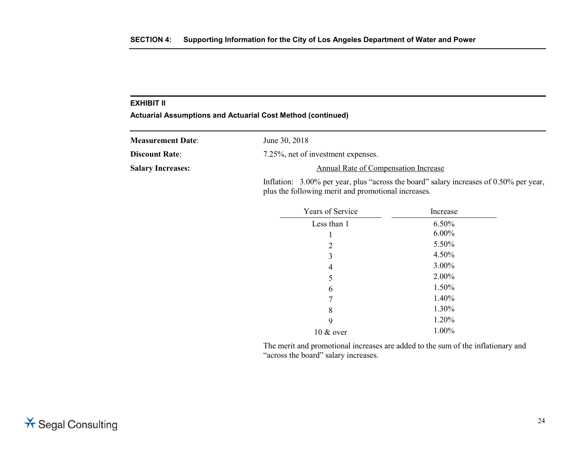**Actuarial Assumptions and Actuarial Cost Method (continued)**

| <b>Measurement Date:</b> | June 30, 2018                                                                                                                                    |
|--------------------------|--------------------------------------------------------------------------------------------------------------------------------------------------|
| <b>Discount Rate:</b>    | 7.25%, net of investment expenses.                                                                                                               |
| <b>Salary Increases:</b> | Annual Rate of Compensation Increase                                                                                                             |
|                          | Inflation: $3.00\%$ per year, plus "across the board" salary increases of 0.50% per year,<br>plus the following merit and promotional increases. |

| Years of Service | Increase |
|------------------|----------|
| Less than 1      | 6.50%    |
| 1                | $6.00\%$ |
| 2                | 5.50%    |
| 3                | 4.50%    |
| 4                | 3.00%    |
| 5                | 2.00%    |
| 6                | 1.50%    |
| 7                | 1.40%    |
| 8                | 1.30%    |
| 9                | 1.20%    |
| $10 \&$ over     | 1.00%    |

The merit and promotional increases are added to the sum of the inflationary and "across the board" salary increases.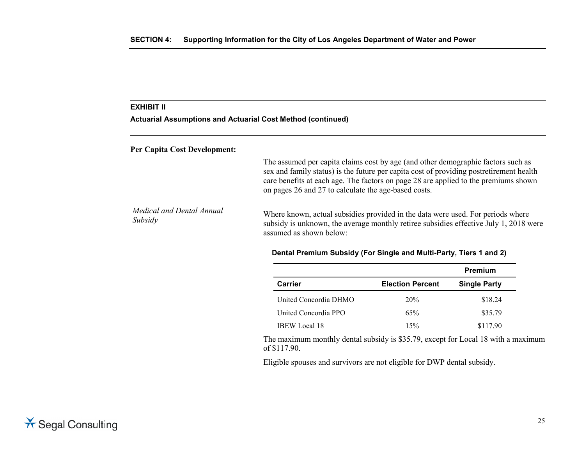**Actuarial Assumptions and Actuarial Cost Method (continued)**

#### **Per Capita Cost Development:**

The assumed per capita claims cost by age (and other demographic factors such as sex and family status) is the future per capita cost of providing postretirement health care benefits at each age. The factors on page 28 are applied to the premiums shown on pages 26 and 27 to calculate the age-based costs.

*Medical and Dental Annual Meacal and Dental Annual* Where known, actual subsidies provided in the data were used. For periods where Subsidy<br>Subsidy<br>Subsidy is unknown, the average monthly retires subsidies effective July 1, 2018 w subsidy is unknown, the average monthly retiree subsidies effective July 1, 2018 were assumed as shown below:

#### **Dental Premium Subsidy (For Single and Multi-Party, Tiers 1 and 2)**

|                       |                         | Premium             |
|-----------------------|-------------------------|---------------------|
| Carrier               | <b>Election Percent</b> | <b>Single Party</b> |
| United Concordia DHMO | 20%                     | \$18.24             |
| United Concordia PPO  | 65%                     | \$35.79             |
| <b>IBEW</b> Local 18  | 15%                     | \$117.90            |

The maximum monthly dental subsidy is \$35.79, except for Local 18 with a maximum of \$117.90.

Eligible spouses and survivors are not eligible for DWP dental subsidy.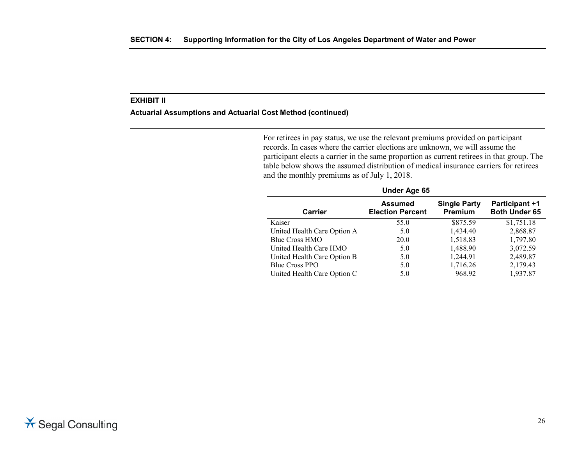#### **Actuarial Assumptions and Actuarial Cost Method (continued)**

For retirees in pay status, we use the relevant premiums provided on participant records. In cases where the carrier elections are unknown, we will assume the participant elects a carrier in the same proportion as current retirees in that group. The table below shows the assumed distribution of medical insurance carriers for retirees and the monthly premiums as of July 1, 2018.

| Under Age 65                |                                           |                                |                                               |
|-----------------------------|-------------------------------------------|--------------------------------|-----------------------------------------------|
| <b>Carrier</b>              | <b>Assumed</b><br><b>Election Percent</b> | <b>Single Party</b><br>Premium | <b>Participant +1</b><br><b>Both Under 65</b> |
| Kaiser                      | 55.0                                      | \$875.59                       | \$1,751.18                                    |
| United Health Care Option A | 5.0                                       | 1,434.40                       | 2,868.87                                      |
| Blue Cross HMO              | 20.0                                      | 1,518.83                       | 1,797.80                                      |
| United Health Care HMO      | 5.0                                       | 1,488.90                       | 3,072.59                                      |
| United Health Care Option B | 5.0                                       | 1,244.91                       | 2,489.87                                      |
| <b>Blue Cross PPO</b>       | 5.0                                       | 1,716.26                       | 2,179.43                                      |
| United Health Care Option C | 5.0                                       | 968.92                         | 1,937.87                                      |

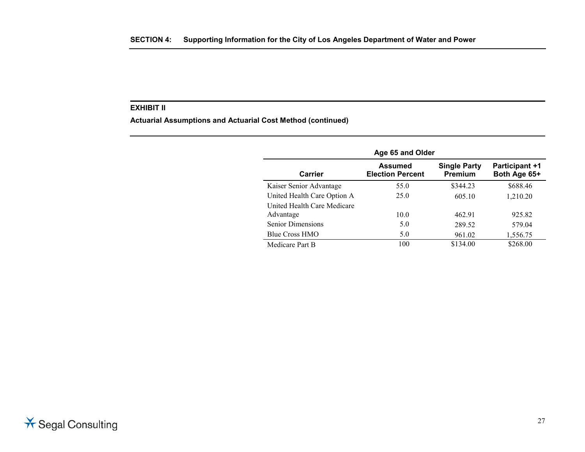**Actuarial Assumptions and Actuarial Cost Method (continued)**

| Age 65 and Older            |                                    |                                       |                                       |  |
|-----------------------------|------------------------------------|---------------------------------------|---------------------------------------|--|
| Carrier                     | Assumed<br><b>Election Percent</b> | <b>Single Party</b><br><b>Premium</b> | <b>Participant +1</b><br>Both Age 65+ |  |
| Kaiser Senior Advantage     | 55.0                               | \$344.23                              | \$688.46                              |  |
| United Health Care Option A | 25.0                               | 605.10                                | 1,210.20                              |  |
| United Health Care Medicare |                                    |                                       |                                       |  |
| Advantage                   | 10.0                               | 462.91                                | 925.82                                |  |
| <b>Senior Dimensions</b>    | 5.0                                | 289.52                                | 579.04                                |  |
| <b>Blue Cross HMO</b>       | 5.0                                | 961.02                                | 1,556.75                              |  |
| Medicare Part B             | 100                                | \$134.00                              | \$268.00                              |  |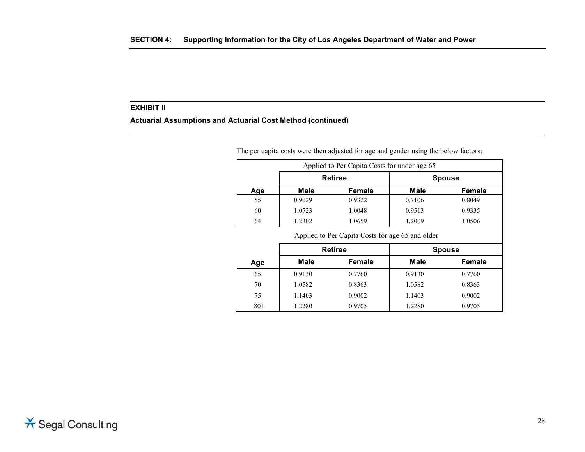**Actuarial Assumptions and Actuarial Cost Method (continued)**

|     |        | Applied to Per Capita Costs for under age 65 |             |               |
|-----|--------|----------------------------------------------|-------------|---------------|
|     |        | <b>Retiree</b>                               |             | <b>Spouse</b> |
| Age | Male   | Female                                       | <b>Male</b> | <b>Female</b> |
| 55  | 0.9029 | 0.9322                                       | 0.7106      | 0.8049        |
| 60  | 1.0723 | 1.0048                                       | 0.9513      | 0.9335        |
| 64  | 1.2302 | 1.0659                                       | 1.2009      | 1.0506        |

Applied to Per Capita Costs for age 65 and older

|       | <b>Retiree</b> |               |        | <b>Spouse</b> |
|-------|----------------|---------------|--------|---------------|
| Age   | <b>Male</b>    | <b>Female</b> | Male   | Female        |
| 65    | 0.9130         | 0.7760        | 0.9130 | 0.7760        |
| 70    | 1.0582         | 0.8363        | 1.0582 | 0.8363        |
| 75    | 1.1403         | 0.9002        | 1.1403 | 0.9002        |
| $80+$ | 1.2280         | 0.9705        | 1.2280 | 0.9705        |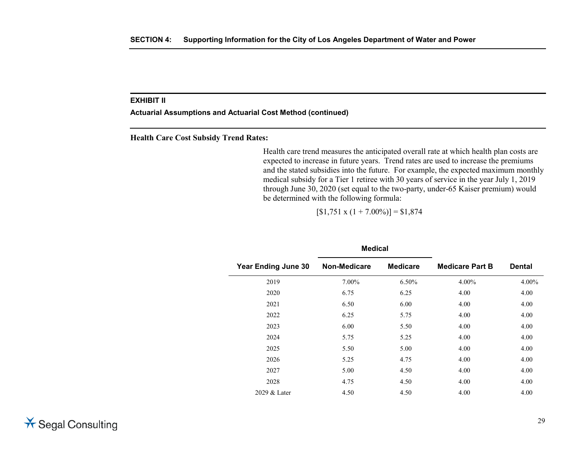**Actuarial Assumptions and Actuarial Cost Method (continued)**

**Health Care Cost Subsidy Trend Rates:**

Health care trend measures the anticipated overall rate at which health plan costs are expected to increase in future years. Trend rates are used to increase the premiums and the stated subsidies into the future. For example, the expected maximum monthly medical subsidy for a Tier 1 retiree with 30 years of service in the year July 1, 2019 through June 30, 2020 (set equal to the two-party, under-65 Kaiser premium) would be determined with the following formula:

 $[$1,751 \times (1 + 7.00\%)] = $1,874$ 

|                            | <b>Medical</b> |                 |                        |               |
|----------------------------|----------------|-----------------|------------------------|---------------|
| <b>Year Ending June 30</b> | Non-Medicare   | <b>Medicare</b> | <b>Medicare Part B</b> | <b>Dental</b> |
| 2019                       | 7.00%          | 6.50%           | 4.00%                  | 4.00%         |
| 2020                       | 6.75           | 6.25            | 4.00                   | 4.00          |
| 2021                       | 6.50           | 6.00            | 4.00                   | 4.00          |
| 2022                       | 6.25           | 5.75            | 4.00                   | 4.00          |
| 2023                       | 6.00           | 5.50            | 4.00                   | 4.00          |
| 2024                       | 5.75           | 5.25            | 4.00                   | 4.00          |
| 2025                       | 5.50           | 5.00            | 4.00                   | 4.00          |
| 2026                       | 5.25           | 4.75            | 4.00                   | 4.00          |
| 2027                       | 5.00           | 4.50            | 4.00                   | 4.00          |
| 2028                       | 4.75           | 4.50            | 4.00                   | 4.00          |
| 2029 & Later               | 4.50           | 4.50            | 4.00                   | 4.00          |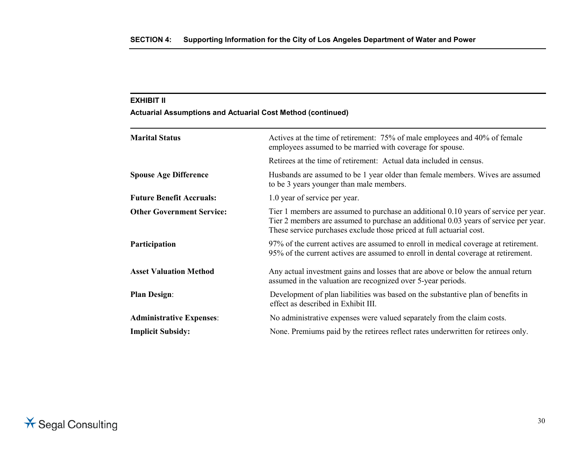## **Actuarial Assumptions and Actuarial Cost Method (continued)**

| <b>Marital Status</b>            | Actives at the time of retirement: 75% of male employees and 40% of female<br>employees assumed to be married with coverage for spouse.                                                                                                              |
|----------------------------------|------------------------------------------------------------------------------------------------------------------------------------------------------------------------------------------------------------------------------------------------------|
|                                  | Retirees at the time of retirement: Actual data included in census.                                                                                                                                                                                  |
| <b>Spouse Age Difference</b>     | Husbands are assumed to be 1 year older than female members. Wives are assumed<br>to be 3 years younger than male members.                                                                                                                           |
| <b>Future Benefit Accruals:</b>  | 1.0 year of service per year.                                                                                                                                                                                                                        |
| <b>Other Government Service:</b> | Tier 1 members are assumed to purchase an additional 0.10 years of service per year.<br>Tier 2 members are assumed to purchase an additional 0.03 years of service per year.<br>These service purchases exclude those priced at full actuarial cost. |
| Participation                    | 97% of the current actives are assumed to enroll in medical coverage at retirement.<br>95% of the current actives are assumed to enroll in dental coverage at retirement.                                                                            |
| <b>Asset Valuation Method</b>    | Any actual investment gains and losses that are above or below the annual return<br>assumed in the valuation are recognized over 5-year periods.                                                                                                     |
| <b>Plan Design:</b>              | Development of plan liabilities was based on the substantive plan of benefits in<br>effect as described in Exhibit III.                                                                                                                              |
| <b>Administrative Expenses:</b>  | No administrative expenses were valued separately from the claim costs.                                                                                                                                                                              |
| <b>Implicit Subsidy:</b>         | None. Premiums paid by the retirees reflect rates underwritten for retirees only.                                                                                                                                                                    |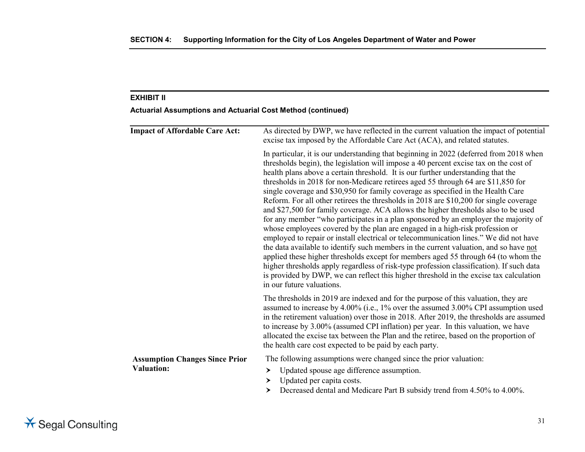## **Actuarial Assumptions and Actuarial Cost Method (continued)**

| <b>Impact of Affordable Care Act:</b> | As directed by DWP, we have reflected in the current valuation the impact of potential<br>excise tax imposed by the Affordable Care Act (ACA), and related statutes.                                                                                                                                                                                                                                                                                                                                                                                                                                                                                                                                                                                                                                                                                                                                                                                                                                                                                                                                                                                                                                                                                                                          |
|---------------------------------------|-----------------------------------------------------------------------------------------------------------------------------------------------------------------------------------------------------------------------------------------------------------------------------------------------------------------------------------------------------------------------------------------------------------------------------------------------------------------------------------------------------------------------------------------------------------------------------------------------------------------------------------------------------------------------------------------------------------------------------------------------------------------------------------------------------------------------------------------------------------------------------------------------------------------------------------------------------------------------------------------------------------------------------------------------------------------------------------------------------------------------------------------------------------------------------------------------------------------------------------------------------------------------------------------------|
|                                       | In particular, it is our understanding that beginning in 2022 (deferred from 2018 when<br>thresholds begin), the legislation will impose a 40 percent excise tax on the cost of<br>health plans above a certain threshold. It is our further understanding that the<br>thresholds in 2018 for non-Medicare retirees aged 55 through 64 are \$11,850 for<br>single coverage and \$30,950 for family coverage as specified in the Health Care<br>Reform. For all other retirees the thresholds in 2018 are \$10,200 for single coverage<br>and \$27,500 for family coverage. ACA allows the higher thresholds also to be used<br>for any member "who participates in a plan sponsored by an employer the majority of<br>whose employees covered by the plan are engaged in a high-risk profession or<br>employed to repair or install electrical or telecommunication lines." We did not have<br>the data available to identify such members in the current valuation, and so have not<br>applied these higher thresholds except for members aged 55 through 64 (to whom the<br>higher thresholds apply regardless of risk-type profession classification). If such data<br>is provided by DWP, we can reflect this higher threshold in the excise tax calculation<br>in our future valuations. |
|                                       | The thresholds in 2019 are indexed and for the purpose of this valuation, they are<br>assumed to increase by 4.00% (i.e., 1% over the assumed 3.00% CPI assumption used<br>in the retirement valuation) over those in 2018. After 2019, the thresholds are assumed<br>to increase by 3.00% (assumed CPI inflation) per year. In this valuation, we have<br>allocated the excise tax between the Plan and the retiree, based on the proportion of<br>the health care cost expected to be paid by each party.                                                                                                                                                                                                                                                                                                                                                                                                                                                                                                                                                                                                                                                                                                                                                                                   |
| <b>Assumption Changes Since Prior</b> | The following assumptions were changed since the prior valuation:                                                                                                                                                                                                                                                                                                                                                                                                                                                                                                                                                                                                                                                                                                                                                                                                                                                                                                                                                                                                                                                                                                                                                                                                                             |
| <b>Valuation:</b>                     | Updated spouse age difference assumption.<br>≻<br>Updated per capita costs.<br>≻                                                                                                                                                                                                                                                                                                                                                                                                                                                                                                                                                                                                                                                                                                                                                                                                                                                                                                                                                                                                                                                                                                                                                                                                              |
|                                       | Decreased dental and Medicare Part B subsidy trend from 4.50% to 4.00%.<br>≻                                                                                                                                                                                                                                                                                                                                                                                                                                                                                                                                                                                                                                                                                                                                                                                                                                                                                                                                                                                                                                                                                                                                                                                                                  |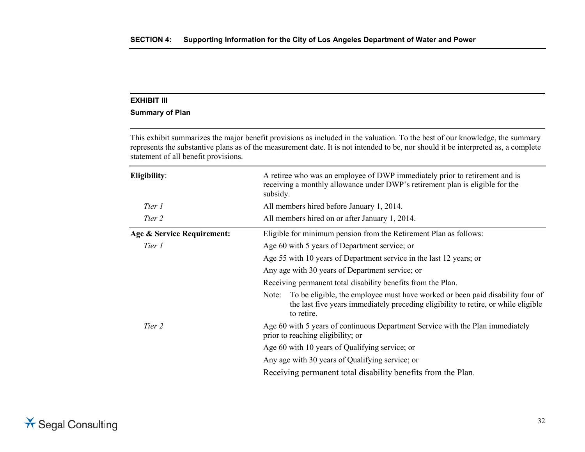#### **Summary of Plan**

This exhibit summarizes the major benefit provisions as included in the valuation. To the best of our knowledge, the summary represents the substantive plans as of the measurement date. It is not intended to be, nor should it be interpreted as, a complete statement of all benefit provisions.

| Eligibility:               | A retiree who was an employee of DWP immediately prior to retirement and is<br>receiving a monthly allowance under DWP's retirement plan is eligible for the<br>subsidy.                   |
|----------------------------|--------------------------------------------------------------------------------------------------------------------------------------------------------------------------------------------|
| Tier 1                     | All members hired before January 1, 2014.                                                                                                                                                  |
| Tier 2                     | All members hired on or after January 1, 2014.                                                                                                                                             |
| Age & Service Requirement: | Eligible for minimum pension from the Retirement Plan as follows:                                                                                                                          |
| Tier 1                     | Age 60 with 5 years of Department service; or                                                                                                                                              |
|                            | Age 55 with 10 years of Department service in the last 12 years; or                                                                                                                        |
|                            | Any age with 30 years of Department service; or                                                                                                                                            |
|                            | Receiving permanent total disability benefits from the Plan.                                                                                                                               |
|                            | To be eligible, the employee must have worked or been paid disability four of<br>Note:<br>the last five years immediately preceding eligibility to retire, or while eligible<br>to retire. |
| Tier 2                     | Age 60 with 5 years of continuous Department Service with the Plan immediately<br>prior to reaching eligibility; or                                                                        |
|                            | Age 60 with 10 years of Qualifying service; or                                                                                                                                             |
|                            | Any age with 30 years of Qualifying service; or                                                                                                                                            |
|                            | Receiving permanent total disability benefits from the Plan.                                                                                                                               |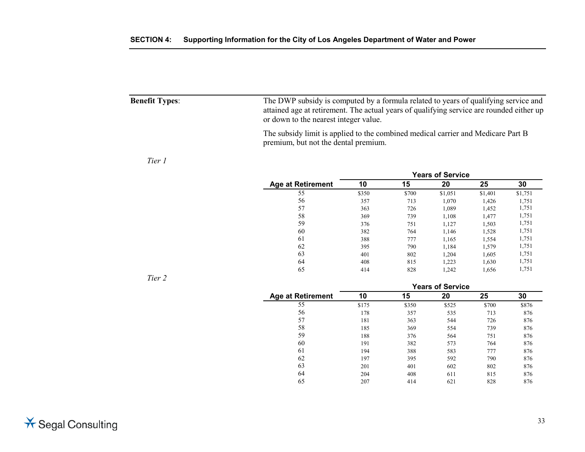| <b>Benefit Types:</b> | The DWP subsidy is computed by a formula related to years of qualifying service and<br>attained age at retirement. The actual years of qualifying service are rounded either up<br>or down to the nearest integer value. |
|-----------------------|--------------------------------------------------------------------------------------------------------------------------------------------------------------------------------------------------------------------------|
|                       | The subsidy limit is applied to the combined medical carrier and Medicare Part B<br>premium, but not the dental premium.                                                                                                 |

## *Tier 1*

|                          | <b>Years of Service</b> |       |         |         |         |  |
|--------------------------|-------------------------|-------|---------|---------|---------|--|
| <b>Age at Retirement</b> | 10                      | 15    | 20      | 25      | 30      |  |
| 55                       | \$350                   | \$700 | \$1,051 | \$1,401 | \$1,751 |  |
| 56                       | 357                     | 713   | 1,070   | 1,426   | 1,751   |  |
| 57                       | 363                     | 726   | 1,089   | 1,452   | 1,751   |  |
| 58                       | 369                     | 739   | 1,108   | 1,477   | 1,751   |  |
| 59                       | 376                     | 751   | 1,127   | 1,503   | 1,751   |  |
| 60                       | 382                     | 764   | 1.146   | 1,528   | 1,751   |  |
| 61                       | 388                     | 777   | 1,165   | 1,554   | 1,751   |  |
| 62                       | 395                     | 790   | 1,184   | 1,579   | 1,751   |  |
| 63                       | 401                     | 802   | 1,204   | 1,605   | 1,751   |  |
| 64                       | 408                     | 815   | 1,223   | 1,630   | 1,751   |  |
| 65                       | 414                     | 828   | 1,242   | 1,656   | 1,751   |  |

*Tier 2*

| <b>Age at Retirement</b> | <b>Years of Service</b> |       |       |       |       |  |
|--------------------------|-------------------------|-------|-------|-------|-------|--|
|                          | 10                      | 15    | 20    | 25    | 30    |  |
| 55                       | \$175                   | \$350 | \$525 | \$700 | \$876 |  |
| 56                       | 178                     | 357   | 535   | 713   | 876   |  |
| 57                       | 181                     | 363   | 544   | 726   | 876   |  |
| 58                       | 185                     | 369   | 554   | 739   | 876   |  |
| 59                       | 188                     | 376   | 564   | 751   | 876   |  |
| 60                       | 191                     | 382   | 573   | 764   | 876   |  |
| 61                       | 194                     | 388   | 583   | 777   | 876   |  |
| 62                       | 197                     | 395   | 592   | 790   | 876   |  |
| 63                       | 201                     | 401   | 602   | 802   | 876   |  |
| 64                       | 204                     | 408   | 611   | 815   | 876   |  |
| 65                       | 207                     | 414   | 621   | 828   | 876   |  |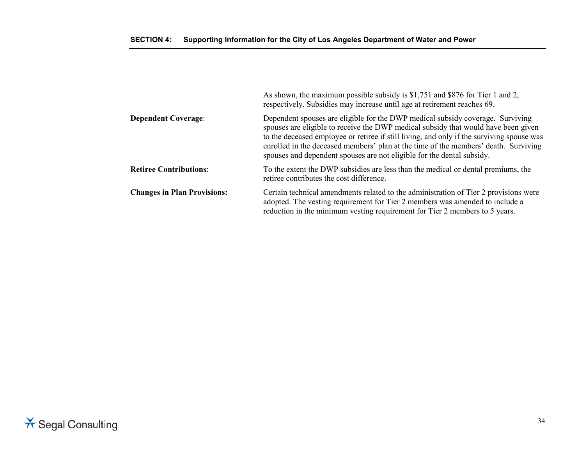|                                    | As shown, the maximum possible subsidy is \$1,751 and \$876 for Tier 1 and 2,<br>respectively. Subsidies may increase until age at retirement reaches 69.                                                                                                                                                                                                                                                                          |
|------------------------------------|------------------------------------------------------------------------------------------------------------------------------------------------------------------------------------------------------------------------------------------------------------------------------------------------------------------------------------------------------------------------------------------------------------------------------------|
| <b>Dependent Coverage:</b>         | Dependent spouses are eligible for the DWP medical subsidy coverage. Surviving<br>spouses are eligible to receive the DWP medical subsidy that would have been given<br>to the deceased employee or retiree if still living, and only if the surviving spouse was<br>enrolled in the deceased members' plan at the time of the members' death. Surviving<br>spouses and dependent spouses are not eligible for the dental subsidy. |
| <b>Retiree Contributions:</b>      | To the extent the DWP subsidies are less than the medical or dental premiums, the<br>retiree contributes the cost difference.                                                                                                                                                                                                                                                                                                      |
| <b>Changes in Plan Provisions:</b> | Certain technical amendments related to the administration of Tier 2 provisions were<br>adopted. The vesting requirement for Tier 2 members was amended to include a<br>reduction in the minimum vesting requirement for Tier 2 members to 5 years.                                                                                                                                                                                |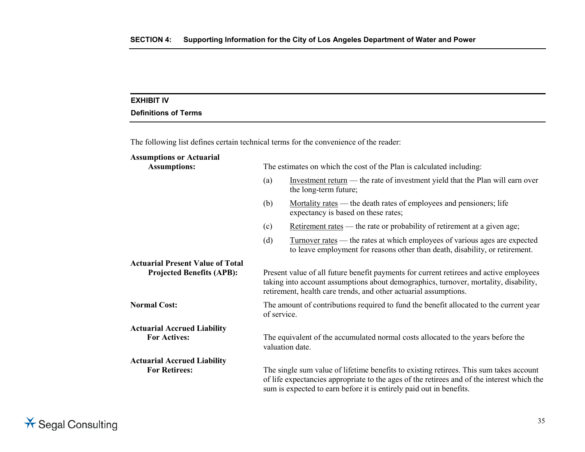## **EXHIBIT IV**

## **Definitions of Terms**

The following list defines certain technical terms for the convenience of the reader:

| <b>Assumptions or Actuarial</b><br><b>Assumptions:</b>                      |                                                                                                                                                                                                                                                    | The estimates on which the cost of the Plan is calculated including:                                                                                                                                                                                        |
|-----------------------------------------------------------------------------|----------------------------------------------------------------------------------------------------------------------------------------------------------------------------------------------------------------------------------------------------|-------------------------------------------------------------------------------------------------------------------------------------------------------------------------------------------------------------------------------------------------------------|
|                                                                             | (a)                                                                                                                                                                                                                                                | Investment return — the rate of investment yield that the Plan will earn over<br>the long-term future;                                                                                                                                                      |
|                                                                             | (b)                                                                                                                                                                                                                                                | Mortality rates — the death rates of employees and pensioners; life<br>expectancy is based on these rates;                                                                                                                                                  |
|                                                                             | (c)                                                                                                                                                                                                                                                | Retirement rates — the rate or probability of retirement at a given age;                                                                                                                                                                                    |
|                                                                             | (d)                                                                                                                                                                                                                                                | <u>Turnover rates</u> — the rates at which employees of various ages are expected<br>to leave employment for reasons other than death, disability, or retirement.                                                                                           |
| <b>Actuarial Present Value of Total</b><br><b>Projected Benefits (APB):</b> | Present value of all future benefit payments for current retirees and active employees<br>taking into account assumptions about demographics, turnover, mortality, disability,<br>retirement, health care trends, and other actuarial assumptions. |                                                                                                                                                                                                                                                             |
| <b>Normal Cost:</b>                                                         | of service.                                                                                                                                                                                                                                        | The amount of contributions required to fund the benefit allocated to the current year                                                                                                                                                                      |
| <b>Actuarial Accrued Liability</b><br><b>For Actives:</b>                   |                                                                                                                                                                                                                                                    | The equivalent of the accumulated normal costs allocated to the years before the<br>valuation date.                                                                                                                                                         |
| <b>Actuarial Accrued Liability</b><br><b>For Retirees:</b>                  |                                                                                                                                                                                                                                                    | The single sum value of lifetime benefits to existing retirees. This sum takes account<br>of life expectancies appropriate to the ages of the retirees and of the interest which the<br>sum is expected to earn before it is entirely paid out in benefits. |